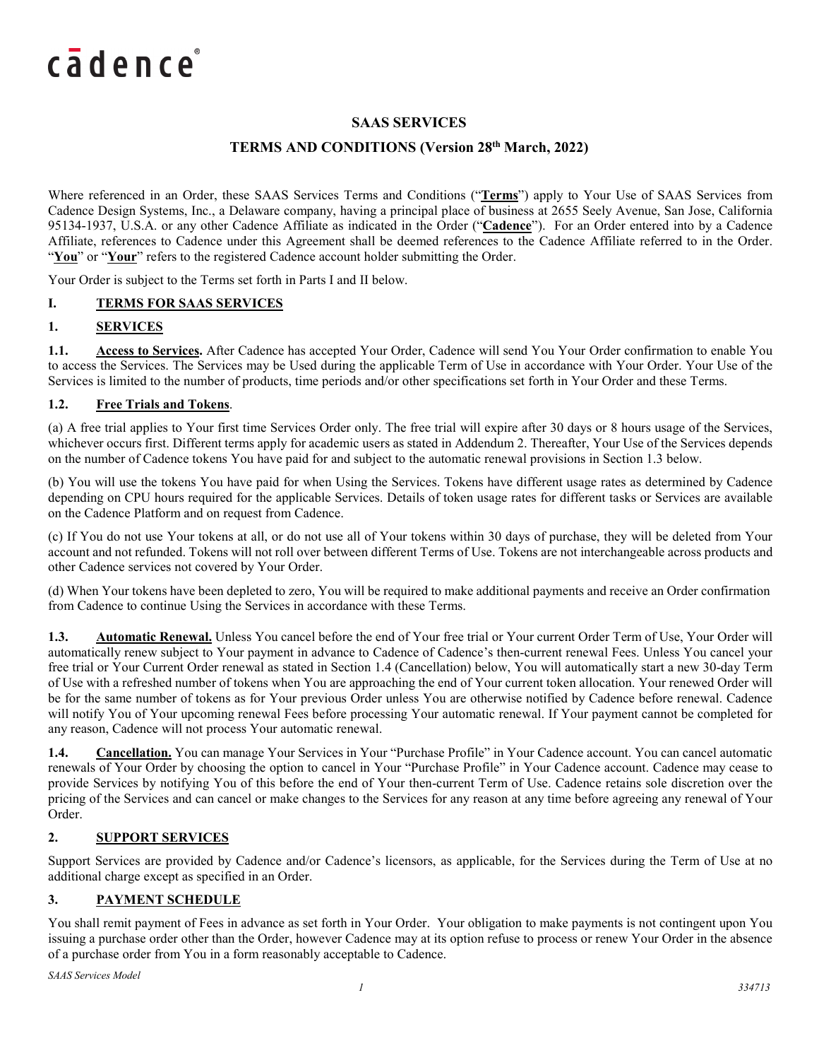## **SAAS SERVICES**

## **TERMS AND CONDITIONS (Version 28th March, 2022)**

Where referenced in an Order, these SAAS Services Terms and Conditions ("**Terms**") apply to Your Use of SAAS Services from Cadence Design Systems, Inc., a Delaware company, having a principal place of business at 2655 Seely Avenue, San Jose, California 95134-1937, U.S.A. or any other Cadence Affiliate as indicated in the Order ("**Cadence**"). For an Order entered into by a Cadence Affiliate, references to Cadence under this Agreement shall be deemed references to the Cadence Affiliate referred to in the Order. "You" or "Your" refers to the registered Cadence account holder submitting the Order.

Your Order is subject to the Terms set forth in Parts I and II below.

#### **I. TERMS FOR SAAS SERVICES**

### **1. SERVICES**

**1.1. Access to Services.** After Cadence has accepted Your Order, Cadence will send You Your Order confirmation to enable You to access the Services. The Services may be Used during the applicable Term of Use in accordance with Your Order. Your Use of the Services is limited to the number of products, time periods and/or other specifications set forth in Your Order and these Terms.

#### **1.2. Free Trials and Tokens**.

(a) A free trial applies to Your first time Services Order only. The free trial will expire after 30 days or 8 hours usage of the Services, whichever occurs first. Different terms apply for academic users as stated in Addendum 2. Thereafter, Your Use of the Services depends on the number of Cadence tokens You have paid for and subject to the automatic renewal provisions in Section 1.3 below.

(b) You will use the tokens You have paid for when Using the Services. Tokens have different usage rates as determined by Cadence depending on CPU hours required for the applicable Services. Details of token usage rates for different tasks or Services are available on the Cadence Platform and on request from Cadence.

(c) If You do not use Your tokens at all, or do not use all of Your tokens within 30 days of purchase, they will be deleted from Your account and not refunded. Tokens will not roll over between different Terms of Use. Tokens are not interchangeable across products and other Cadence services not covered by Your Order.

(d) When Your tokens have been depleted to zero, You will be required to make additional payments and receive an Order confirmation from Cadence to continue Using the Services in accordance with these Terms.

**1.3. Automatic Renewal.** Unless You cancel before the end of Your free trial or Your current Order Term of Use, Your Order will automatically renew subject to Your payment in advance to Cadence of Cadence's then-current renewal Fees. Unless You cancel your free trial or Your Current Order renewal as stated in Section 1.4 (Cancellation) below, You will automatically start a new 30-day Term of Use with a refreshed number of tokens when You are approaching the end of Your current token allocation. Your renewed Order will be for the same number of tokens as for Your previous Order unless You are otherwise notified by Cadence before renewal. Cadence will notify You of Your upcoming renewal Fees before processing Your automatic renewal. If Your payment cannot be completed for any reason, Cadence will not process Your automatic renewal.

**1.4. Cancellation.** You can manage Your Services in Your "Purchase Profile" in Your Cadence account. You can cancel automatic renewals of Your Order by choosing the option to cancel in Your "Purchase Profile" in Your Cadence account. Cadence may cease to provide Services by notifying You of this before the end of Your then-current Term of Use. Cadence retains sole discretion over the pricing of the Services and can cancel or make changes to the Services for any reason at any time before agreeing any renewal of Your Order.

#### **2. SUPPORT SERVICES**

Support Services are provided by Cadence and/or Cadence's licensors, as applicable, for the Services during the Term of Use at no additional charge except as specified in an Order.

#### **3. PAYMENT SCHEDULE**

You shall remit payment of Fees in advance as set forth in Your Order. Your obligation to make payments is not contingent upon You issuing a purchase order other than the Order, however Cadence may at its option refuse to process or renew Your Order in the absence of a purchase order from You in a form reasonably acceptable to Cadence.

*SAAS Services Model*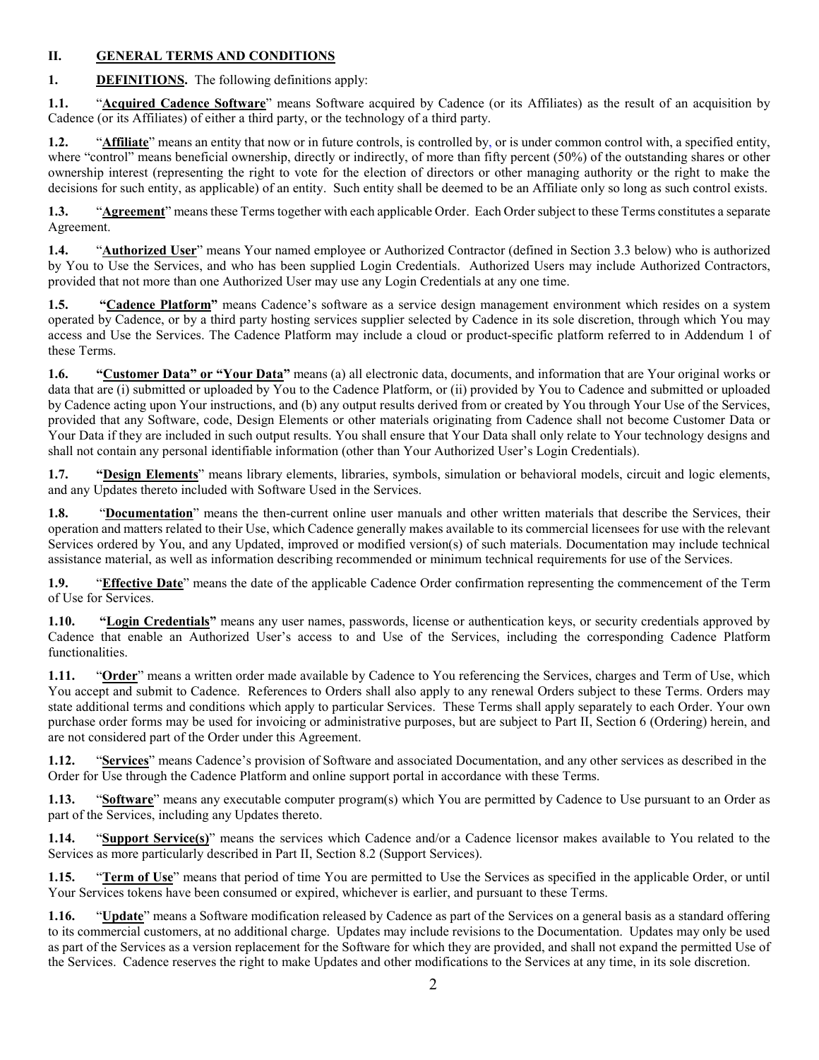### **II. GENERAL TERMS AND CONDITIONS**

**1. DEFINITIONS.** The following definitions apply:

**1.1.** "**Acquired Cadence Software**" means Software acquired by Cadence (or its Affiliates) as the result of an acquisition by Cadence (or its Affiliates) of either a third party, or the technology of a third party.

**1.2.** "**Affiliate**" means an entity that now or in future controls, is controlled by, or is under common control with, a specified entity, where "control" means beneficial ownership, directly or indirectly, of more than fifty percent (50%) of the outstanding shares or other ownership interest (representing the right to vote for the election of directors or other managing authority or the right to make the decisions for such entity, as applicable) of an entity. Such entity shall be deemed to be an Affiliate only so long as such control exists.

**1.3.** "**Agreement**" means these Terms together with each applicable Order. Each Order subject to these Terms constitutes a separate Agreement.

**1.4.** "**Authorized User**" means Your named employee or Authorized Contractor (defined in Section 3.3 below) who is authorized by You to Use the Services, and who has been supplied Login Credentials. Authorized Users may include Authorized Contractors, provided that not more than one Authorized User may use any Login Credentials at any one time.

**1.5. "Cadence Platform"** means Cadence's software as a service design management environment which resides on a system operated by Cadence, or by a third party hosting services supplier selected by Cadence in its sole discretion, through which You may access and Use the Services. The Cadence Platform may include a cloud or product-specific platform referred to in Addendum 1 of these Terms.

**1.6. "Customer Data" or "Your Data"** means (a) all electronic data, documents, and information that are Your original works or data that are (i) submitted or uploaded by You to the Cadence Platform, or (ii) provided by You to Cadence and submitted or uploaded by Cadence acting upon Your instructions, and (b) any output results derived from or created by You through Your Use of the Services, provided that any Software, code, Design Elements or other materials originating from Cadence shall not become Customer Data or Your Data if they are included in such output results. You shall ensure that Your Data shall only relate to Your technology designs and shall not contain any personal identifiable information (other than Your Authorized User's Login Credentials).

**1.7. "Design Elements**" means library elements, libraries, symbols, simulation or behavioral models, circuit and logic elements, and any Updates thereto included with Software Used in the Services.

**1.8.** "**Documentation**" means the then-current online user manuals and other written materials that describe the Services, their operation and matters related to their Use, which Cadence generally makes available to its commercial licensees for use with the relevant Services ordered by You, and any Updated, improved or modified version(s) of such materials. Documentation may include technical assistance material, as well as information describing recommended or minimum technical requirements for use of the Services.

**1.9.** "**Effective Date**" means the date of the applicable Cadence Order confirmation representing the commencement of the Term of Use for Services.

**1.10. "Login Credentials"** means any user names, passwords, license or authentication keys, or security credentials approved by Cadence that enable an Authorized User's access to and Use of the Services, including the corresponding Cadence Platform functionalities.

**1.11.** "**Order**" means a written order made available by Cadence to You referencing the Services, charges and Term of Use, which You accept and submit to Cadence. References to Orders shall also apply to any renewal Orders subject to these Terms. Orders may state additional terms and conditions which apply to particular Services. These Terms shall apply separately to each Order. Your own purchase order forms may be used for invoicing or administrative purposes, but are subject to Part II, Section 6 (Ordering) herein, and are not considered part of the Order under this Agreement.

**1.12.** "**Services**" means Cadence's provision of Software and associated Documentation, and any other services as described in the Order for Use through the Cadence Platform and online support portal in accordance with these Terms.

**1.13.** "**Software**" means any executable computer program(s) which You are permitted by Cadence to Use pursuant to an Order as part of the Services, including any Updates thereto.

**1.14.** "**Support Service(s)**" means the services which Cadence and/or a Cadence licensor makes available to You related to the Services as more particularly described in Part II, Section 8.2 (Support Services).

**1.15.** "**Term of Use**" means that period of time You are permitted to Use the Services as specified in the applicable Order, or until Your Services tokens have been consumed or expired, whichever is earlier, and pursuant to these Terms.

**1.16.** "**Update**" means a Software modification released by Cadence as part of the Services on a general basis as a standard offering to its commercial customers, at no additional charge. Updates may include revisions to the Documentation. Updates may only be used as part of the Services as a version replacement for the Software for which they are provided, and shall not expand the permitted Use of the Services. Cadence reserves the right to make Updates and other modifications to the Services at any time, in its sole discretion.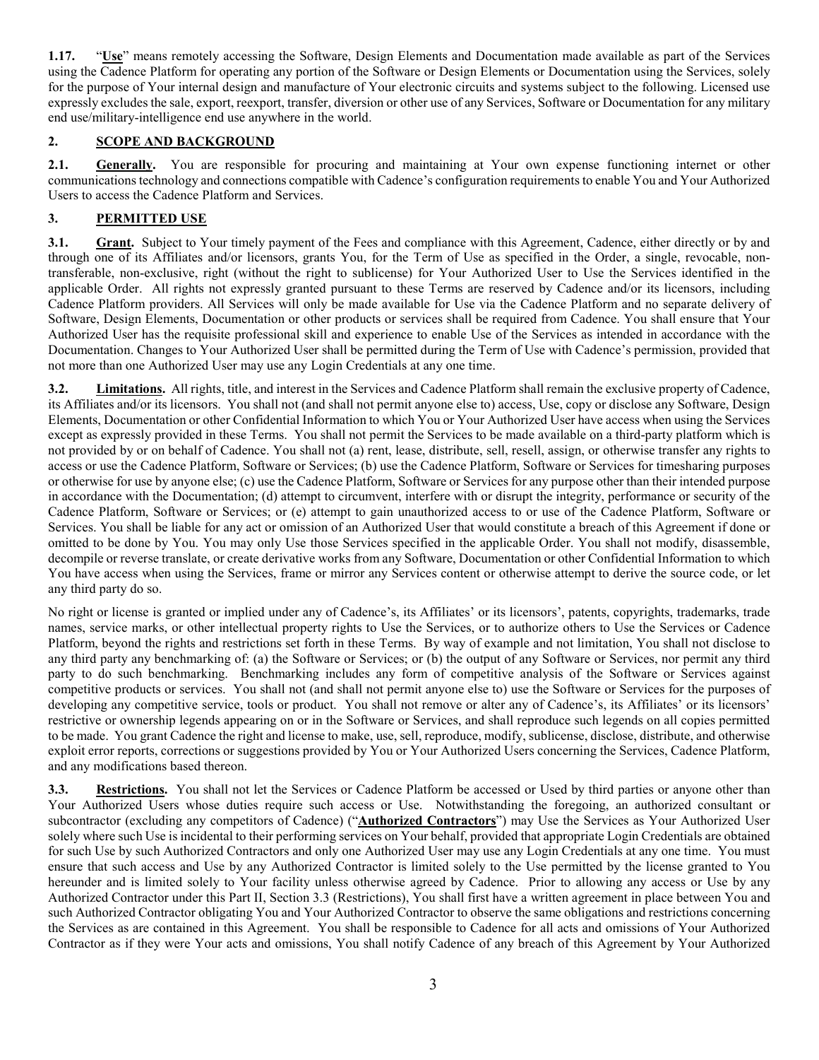**1.17.** "**Use**" means remotely accessing the Software, Design Elements and Documentation made available as part of the Services using the Cadence Platform for operating any portion of the Software or Design Elements or Documentation using the Services, solely for the purpose of Your internal design and manufacture of Your electronic circuits and systems subject to the following. Licensed use expressly excludes the sale, export, reexport, transfer, diversion or other use of any Services, Software or Documentation for any military end use/military-intelligence end use anywhere in the world.

## **2. SCOPE AND BACKGROUND**

**2.1. Generally.** You are responsible for procuring and maintaining at Your own expense functioning internet or other communications technology and connections compatible with Cadence's configuration requirements to enable You and Your Authorized Users to access the Cadence Platform and Services.

## **3. PERMITTED USE**

**3.1.** Grant. Subject to Your timely payment of the Fees and compliance with this Agreement, Cadence, either directly or by and through one of its Affiliates and/or licensors, grants You, for the Term of Use as specified in the Order, a single, revocable, nontransferable, non-exclusive, right (without the right to sublicense) for Your Authorized User to Use the Services identified in the applicable Order. All rights not expressly granted pursuant to these Terms are reserved by Cadence and/or its licensors, including Cadence Platform providers. All Services will only be made available for Use via the Cadence Platform and no separate delivery of Software, Design Elements, Documentation or other products or services shall be required from Cadence. You shall ensure that Your Authorized User has the requisite professional skill and experience to enable Use of the Services as intended in accordance with the Documentation. Changes to Your Authorized User shall be permitted during the Term of Use with Cadence's permission, provided that not more than one Authorized User may use any Login Credentials at any one time.

**3.2. Limitations.** All rights, title, and interest in the Services and Cadence Platform shall remain the exclusive property of Cadence, its Affiliates and/or its licensors. You shall not (and shall not permit anyone else to) access, Use, copy or disclose any Software, Design Elements, Documentation or other Confidential Information to which You or Your Authorized User have access when using the Services except as expressly provided in these Terms. You shall not permit the Services to be made available on a third-party platform which is not provided by or on behalf of Cadence. You shall not (a) rent, lease, distribute, sell, resell, assign, or otherwise transfer any rights to access or use the Cadence Platform, Software or Services; (b) use the Cadence Platform, Software or Services for timesharing purposes or otherwise for use by anyone else; (c) use the Cadence Platform, Software or Services for any purpose other than their intended purpose in accordance with the Documentation; (d) attempt to circumvent, interfere with or disrupt the integrity, performance or security of the Cadence Platform, Software or Services; or (e) attempt to gain unauthorized access to or use of the Cadence Platform, Software or Services. You shall be liable for any act or omission of an Authorized User that would constitute a breach of this Agreement if done or omitted to be done by You. You may only Use those Services specified in the applicable Order. You shall not modify, disassemble, decompile or reverse translate, or create derivative works from any Software, Documentation or other Confidential Information to which You have access when using the Services, frame or mirror any Services content or otherwise attempt to derive the source code, or let any third party do so.

No right or license is granted or implied under any of Cadence's, its Affiliates' or its licensors', patents, copyrights, trademarks, trade names, service marks, or other intellectual property rights to Use the Services, or to authorize others to Use the Services or Cadence Platform, beyond the rights and restrictions set forth in these Terms. By way of example and not limitation, You shall not disclose to any third party any benchmarking of: (a) the Software or Services; or (b) the output of any Software or Services, nor permit any third party to do such benchmarking. Benchmarking includes any form of competitive analysis of the Software or Services against competitive products or services. You shall not (and shall not permit anyone else to) use the Software or Services for the purposes of developing any competitive service, tools or product. You shall not remove or alter any of Cadence's, its Affiliates' or its licensors' restrictive or ownership legends appearing on or in the Software or Services, and shall reproduce such legends on all copies permitted to be made. You grant Cadence the right and license to make, use, sell, reproduce, modify, sublicense, disclose, distribute, and otherwise exploit error reports, corrections or suggestions provided by You or Your Authorized Users concerning the Services, Cadence Platform, and any modifications based thereon.

**3.3. Restrictions.** You shall not let the Services or Cadence Platform be accessed or Used by third parties or anyone other than Your Authorized Users whose duties require such access or Use. Notwithstanding the foregoing, an authorized consultant or subcontractor (excluding any competitors of Cadence) ("**Authorized Contractors**") may Use the Services as Your Authorized User solely where such Use is incidental to their performing services on Your behalf, provided that appropriate Login Credentials are obtained for such Use by such Authorized Contractors and only one Authorized User may use any Login Credentials at any one time. You must ensure that such access and Use by any Authorized Contractor is limited solely to the Use permitted by the license granted to You hereunder and is limited solely to Your facility unless otherwise agreed by Cadence. Prior to allowing any access or Use by any Authorized Contractor under this Part II, Section 3.3 (Restrictions), You shall first have a written agreement in place between You and such Authorized Contractor obligating You and Your Authorized Contractor to observe the same obligations and restrictions concerning the Services as are contained in this Agreement. You shall be responsible to Cadence for all acts and omissions of Your Authorized Contractor as if they were Your acts and omissions, You shall notify Cadence of any breach of this Agreement by Your Authorized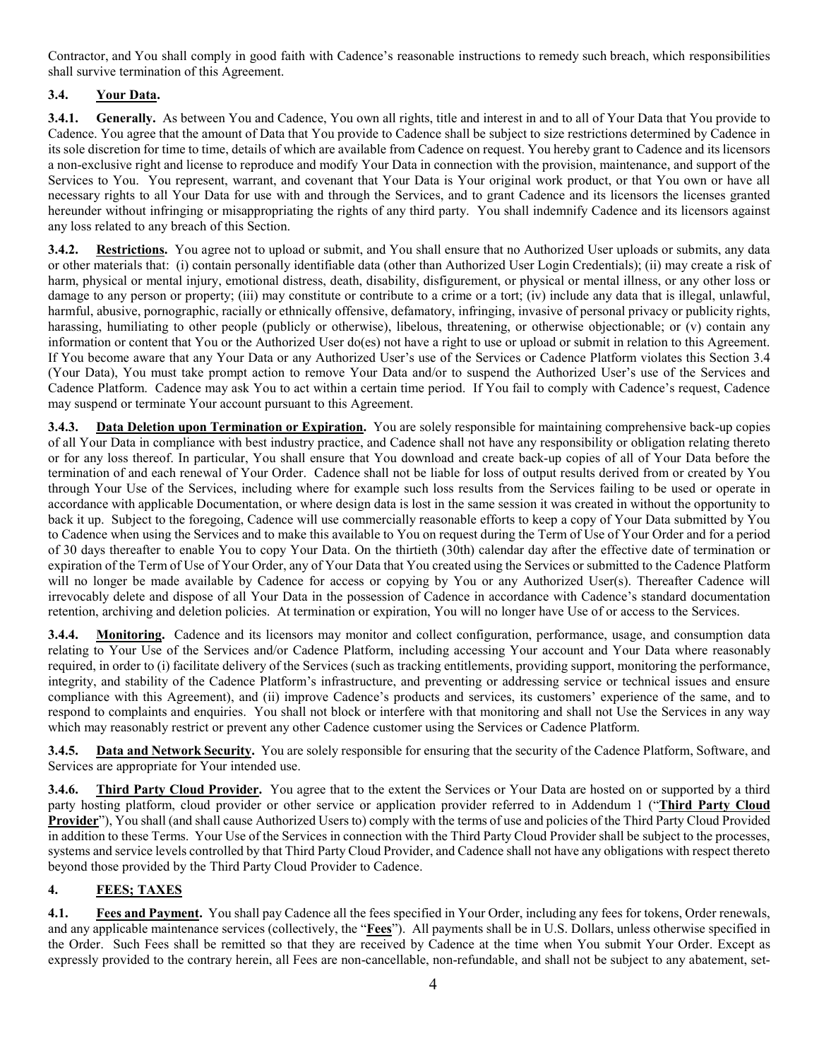Contractor, and You shall comply in good faith with Cadence's reasonable instructions to remedy such breach, which responsibilities shall survive termination of this Agreement.

# **3.4. Your Data.**

**3.4.1. Generally.** As between You and Cadence, You own all rights, title and interest in and to all of Your Data that You provide to Cadence. You agree that the amount of Data that You provide to Cadence shall be subject to size restrictions determined by Cadence in its sole discretion for time to time, details of which are available from Cadence on request. You hereby grant to Cadence and its licensors a non-exclusive right and license to reproduce and modify Your Data in connection with the provision, maintenance, and support of the Services to You. You represent, warrant, and covenant that Your Data is Your original work product, or that You own or have all necessary rights to all Your Data for use with and through the Services, and to grant Cadence and its licensors the licenses granted hereunder without infringing or misappropriating the rights of any third party. You shall indemnify Cadence and its licensors against any loss related to any breach of this Section.

**3.4.2. Restrictions.** You agree not to upload or submit, and You shall ensure that no Authorized User uploads or submits, any data or other materials that: (i) contain personally identifiable data (other than Authorized User Login Credentials); (ii) may create a risk of harm, physical or mental injury, emotional distress, death, disability, disfigurement, or physical or mental illness, or any other loss or damage to any person or property; (iii) may constitute or contribute to a crime or a tort; (iv) include any data that is illegal, unlawful, harmful, abusive, pornographic, racially or ethnically offensive, defamatory, infringing, invasive of personal privacy or publicity rights, harassing, humiliating to other people (publicly or otherwise), libelous, threatening, or otherwise objectionable; or (v) contain any information or content that You or the Authorized User do(es) not have a right to use or upload or submit in relation to this Agreement. If You become aware that any Your Data or any Authorized User's use of the Services or Cadence Platform violates this Section 3.4 (Your Data), You must take prompt action to remove Your Data and/or to suspend the Authorized User's use of the Services and Cadence Platform. Cadence may ask You to act within a certain time period. If You fail to comply with Cadence's request, Cadence may suspend or terminate Your account pursuant to this Agreement.

**3.4.3. Data Deletion upon Termination or Expiration.** You are solely responsible for maintaining comprehensive back-up copies of all Your Data in compliance with best industry practice, and Cadence shall not have any responsibility or obligation relating thereto or for any loss thereof. In particular, You shall ensure that You download and create back-up copies of all of Your Data before the termination of and each renewal of Your Order. Cadence shall not be liable for loss of output results derived from or created by You through Your Use of the Services, including where for example such loss results from the Services failing to be used or operate in accordance with applicable Documentation, or where design data is lost in the same session it was created in without the opportunity to back it up. Subject to the foregoing, Cadence will use commercially reasonable efforts to keep a copy of Your Data submitted by You to Cadence when using the Services and to make this available to You on request during the Term of Use of Your Order and for a period of 30 days thereafter to enable You to copy Your Data. On the thirtieth (30th) calendar day after the effective date of termination or expiration of the Term of Use of Your Order, any of Your Data that You created using the Services or submitted to the Cadence Platform will no longer be made available by Cadence for access or copying by You or any Authorized User(s). Thereafter Cadence will irrevocably delete and dispose of all Your Data in the possession of Cadence in accordance with Cadence's standard documentation retention, archiving and deletion policies. At termination or expiration, You will no longer have Use of or access to the Services.

**3.4.4. Monitoring.** Cadence and its licensors may monitor and collect configuration, performance, usage, and consumption data relating to Your Use of the Services and/or Cadence Platform, including accessing Your account and Your Data where reasonably required, in order to (i) facilitate delivery of the Services (such as tracking entitlements, providing support, monitoring the performance, integrity, and stability of the Cadence Platform's infrastructure, and preventing or addressing service or technical issues and ensure compliance with this Agreement), and (ii) improve Cadence's products and services, its customers' experience of the same, and to respond to complaints and enquiries. You shall not block or interfere with that monitoring and shall not Use the Services in any way which may reasonably restrict or prevent any other Cadence customer using the Services or Cadence Platform.

**3.4.5. Data and Network Security.** You are solely responsible for ensuring that the security of the Cadence Platform, Software, and Services are appropriate for Your intended use.

**3.4.6. Third Party Cloud Provider.** You agree that to the extent the Services or Your Data are hosted on or supported by a third party hosting platform, cloud provider or other service or application provider referred to in Addendum 1 ("**Third Party Cloud Provider**"), You shall (and shall cause Authorized Users to) comply with the terms of use and policies of the Third Party Cloud Provided in addition to these Terms. Your Use of the Services in connection with the Third Party Cloud Provider shall be subject to the processes, systems and service levels controlled by that Third Party Cloud Provider, and Cadence shall not have any obligations with respect thereto beyond those provided by the Third Party Cloud Provider to Cadence.

# **4. FEES; TAXES**

**4.1. Fees and Payment.** You shall pay Cadence all the fees specified in Your Order, including any fees for tokens, Order renewals, and any applicable maintenance services (collectively, the "**Fees**"). All payments shall be in U.S. Dollars, unless otherwise specified in the Order. Such Fees shall be remitted so that they are received by Cadence at the time when You submit Your Order. Except as expressly provided to the contrary herein, all Fees are non-cancellable, non-refundable, and shall not be subject to any abatement, set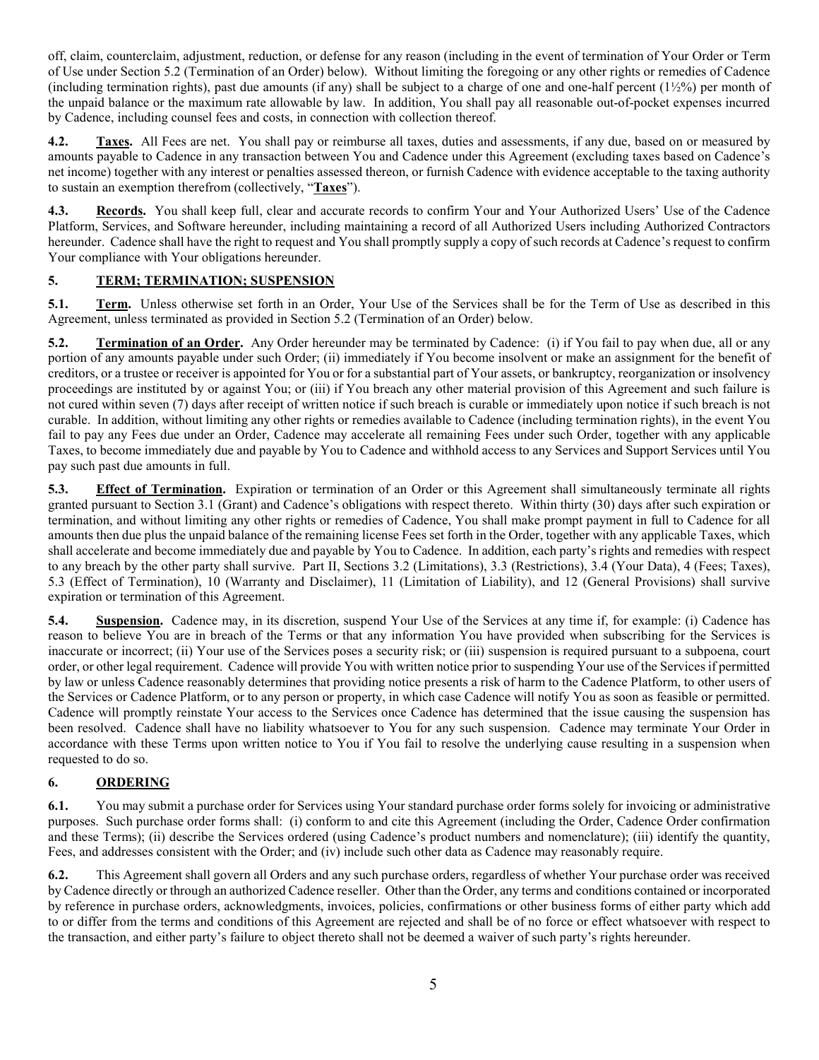off, claim, counterclaim, adjustment, reduction, or defense for any reason (including in the event of termination of Your Order or Term of Use under Section 5.2 (Termination of an Order) below). Without limiting the foregoing or any other rights or remedies of Cadence (including termination rights), past due amounts (if any) shall be subject to a charge of one and one-half percent  $(1\frac{1}{2}\%)$  per month of the unpaid balance or the maximum rate allowable by law. In addition, You shall pay all reasonable out-of-pocket expenses incurred by Cadence, including counsel fees and costs, in connection with collection thereof.

**4.2. Taxes.** All Fees are net. You shall pay or reimburse all taxes, duties and assessments, if any due, based on or measured by amounts payable to Cadence in any transaction between You and Cadence under this Agreement (excluding taxes based on Cadence's net income) together with any interest or penalties assessed thereon, or furnish Cadence with evidence acceptable to the taxing authority to sustain an exemption therefrom (collectively, "**Taxes**").

**4.3. Records.** You shall keep full, clear and accurate records to confirm Your and Your Authorized Users' Use of the Cadence Platform, Services, and Software hereunder, including maintaining a record of all Authorized Users including Authorized Contractors hereunder. Cadence shall have the right to request and You shall promptly supply a copy of such records at Cadence's request to confirm Your compliance with Your obligations hereunder.

# **5. TERM; TERMINATION; SUSPENSION**

**5.1. Term.** Unless otherwise set forth in an Order, Your Use of the Services shall be for the Term of Use as described in this Agreement, unless terminated as provided in Section 5.2 (Termination of an Order) below.

**5.2. Termination of an Order.** Any Order hereunder may be terminated by Cadence: (i) if You fail to pay when due, all or any portion of any amounts payable under such Order; (ii) immediately if You become insolvent or make an assignment for the benefit of creditors, or a trustee or receiver is appointed for You or for a substantial part of Your assets, or bankruptcy, reorganization or insolvency proceedings are instituted by or against You; or (iii) if You breach any other material provision of this Agreement and such failure is not cured within seven (7) days after receipt of written notice if such breach is curable or immediately upon notice if such breach is not curable. In addition, without limiting any other rights or remedies available to Cadence (including termination rights), in the event You fail to pay any Fees due under an Order, Cadence may accelerate all remaining Fees under such Order, together with any applicable Taxes, to become immediately due and payable by You to Cadence and withhold access to any Services and Support Services until You pay such past due amounts in full.

**5.3. Effect of Termination.** Expiration or termination of an Order or this Agreement shall simultaneously terminate all rights granted pursuant to Section 3.1 (Grant) and Cadence's obligations with respect thereto. Within thirty (30) days after such expiration or termination, and without limiting any other rights or remedies of Cadence, You shall make prompt payment in full to Cadence for all amounts then due plus the unpaid balance of the remaining license Fees set forth in the Order, together with any applicable Taxes, which shall accelerate and become immediately due and payable by You to Cadence. In addition, each party's rights and remedies with respect to any breach by the other party shall survive. Part II, Sections 3.2 (Limitations), 3.3 (Restrictions), 3.4 (Your Data), 4 (Fees; Taxes), 5.3 (Effect of Termination), 10 (Warranty and Disclaimer), 11 (Limitation of Liability), and 12 (General Provisions) shall survive expiration or termination of this Agreement.

**5.4. Suspension.** Cadence may, in its discretion, suspend Your Use of the Services at any time if, for example: (i) Cadence has reason to believe You are in breach of the Terms or that any information You have provided when subscribing for the Services is inaccurate or incorrect; (ii) Your use of the Services poses a security risk; or (iii) suspension is required pursuant to a subpoena, court order, or other legal requirement. Cadence will provide You with written notice prior to suspending Your use of the Services if permitted by law or unless Cadence reasonably determines that providing notice presents a risk of harm to the Cadence Platform, to other users of the Services or Cadence Platform, or to any person or property, in which case Cadence will notify You as soon as feasible or permitted. Cadence will promptly reinstate Your access to the Services once Cadence has determined that the issue causing the suspension has been resolved. Cadence shall have no liability whatsoever to You for any such suspension. Cadence may terminate Your Order in accordance with these Terms upon written notice to You if You fail to resolve the underlying cause resulting in a suspension when requested to do so.

## **6. ORDERING**

**6.1.** You may submit a purchase order for Services using Your standard purchase order forms solely for invoicing or administrative purposes. Such purchase order forms shall: (i) conform to and cite this Agreement (including the Order, Cadence Order confirmation and these Terms); (ii) describe the Services ordered (using Cadence's product numbers and nomenclature); (iii) identify the quantity, Fees, and addresses consistent with the Order; and (iv) include such other data as Cadence may reasonably require.

**6.2.** This Agreement shall govern all Orders and any such purchase orders, regardless of whether Your purchase order was received by Cadence directly or through an authorized Cadence reseller. Other than the Order, any terms and conditions contained or incorporated by reference in purchase orders, acknowledgments, invoices, policies, confirmations or other business forms of either party which add to or differ from the terms and conditions of this Agreement are rejected and shall be of no force or effect whatsoever with respect to the transaction, and either party's failure to object thereto shall not be deemed a waiver of such party's rights hereunder.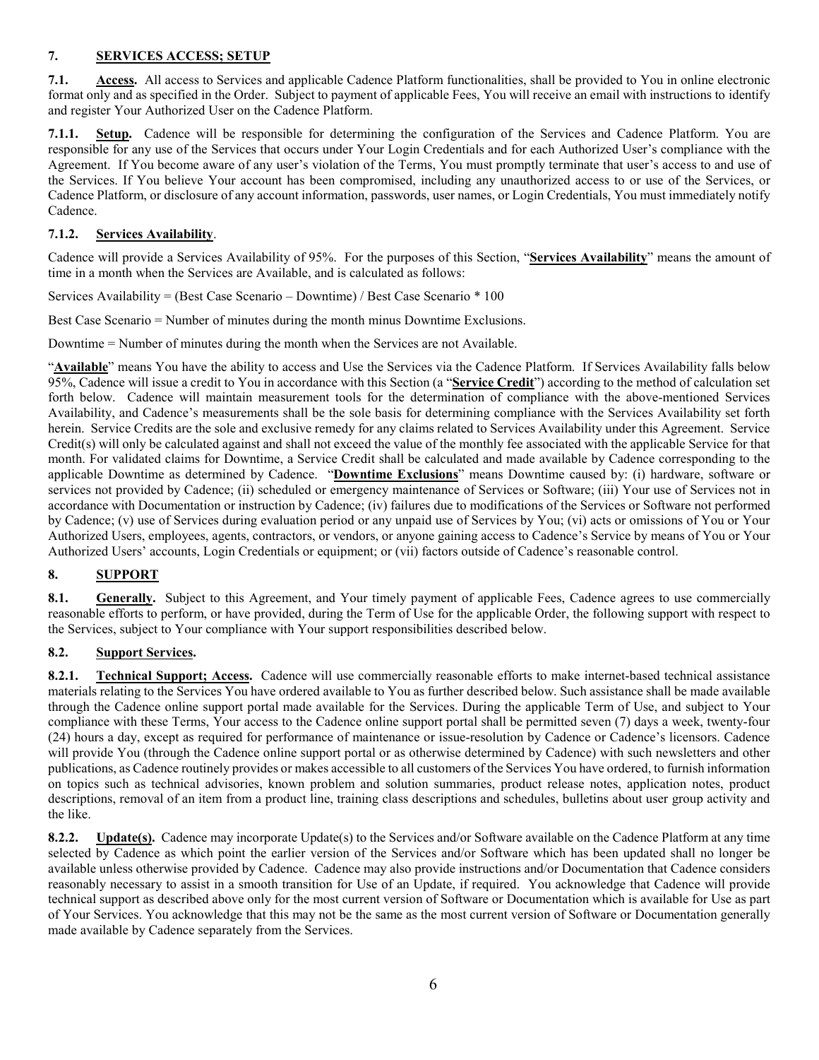## **7. SERVICES ACCESS; SETUP**

**7.1. Access.** All access to Services and applicable Cadence Platform functionalities, shall be provided to You in online electronic format only and as specified in the Order. Subject to payment of applicable Fees, You will receive an email with instructions to identify and register Your Authorized User on the Cadence Platform.

**7.1.1. Setup.** Cadence will be responsible for determining the configuration of the Services and Cadence Platform. You are responsible for any use of the Services that occurs under Your Login Credentials and for each Authorized User's compliance with the Agreement. If You become aware of any user's violation of the Terms, You must promptly terminate that user's access to and use of the Services. If You believe Your account has been compromised, including any unauthorized access to or use of the Services, or Cadence Platform, or disclosure of any account information, passwords, user names, or Login Credentials, You must immediately notify Cadence.

## **7.1.2. Services Availability**.

Cadence will provide a Services Availability of 95%. For the purposes of this Section, "**Services Availability**" means the amount of time in a month when the Services are Available, and is calculated as follows:

Services Availability = (Best Case Scenario – Downtime) / Best Case Scenario \* 100

Best Case Scenario = Number of minutes during the month minus Downtime Exclusions.

Downtime = Number of minutes during the month when the Services are not Available.

"**Available**" means You have the ability to access and Use the Services via the Cadence Platform. If Services Availability falls below 95%, Cadence will issue a credit to You in accordance with this Section (a "**Service Credit**") according to the method of calculation set forth below. Cadence will maintain measurement tools for the determination of compliance with the above-mentioned Services Availability, and Cadence's measurements shall be the sole basis for determining compliance with the Services Availability set forth herein. Service Credits are the sole and exclusive remedy for any claims related to Services Availability under this Agreement. Service Credit(s) will only be calculated against and shall not exceed the value of the monthly fee associated with the applicable Service for that month. For validated claims for Downtime, a Service Credit shall be calculated and made available by Cadence corresponding to the applicable Downtime as determined by Cadence. "**Downtime Exclusions**" means Downtime caused by: (i) hardware, software or services not provided by Cadence; (ii) scheduled or emergency maintenance of Services or Software; (iii) Your use of Services not in accordance with Documentation or instruction by Cadence; (iv) failures due to modifications of the Services or Software not performed by Cadence; (v) use of Services during evaluation period or any unpaid use of Services by You; (vi) acts or omissions of You or Your Authorized Users, employees, agents, contractors, or vendors, or anyone gaining access to Cadence's Service by means of You or Your Authorized Users' accounts, Login Credentials or equipment; or (vii) factors outside of Cadence's reasonable control.

# **8. SUPPORT**

**8.1. Generally.** Subject to this Agreement, and Your timely payment of applicable Fees, Cadence agrees to use commercially reasonable efforts to perform, or have provided, during the Term of Use for the applicable Order, the following support with respect to the Services, subject to Your compliance with Your support responsibilities described below.

## **8.2. Support Services.**

**8.2.1. Technical Support; Access.** Cadence will use commercially reasonable efforts to make internet-based technical assistance materials relating to the Services You have ordered available to You as further described below. Such assistance shall be made available through the Cadence online support portal made available for the Services. During the applicable Term of Use, and subject to Your compliance with these Terms, Your access to the Cadence online support portal shall be permitted seven (7) days a week, twenty-four (24) hours a day, except as required for performance of maintenance or issue-resolution by Cadence or Cadence's licensors. Cadence will provide You (through the Cadence online support portal or as otherwise determined by Cadence) with such newsletters and other publications, as Cadence routinely provides or makes accessible to all customers of the Services You have ordered, to furnish information on topics such as technical advisories, known problem and solution summaries, product release notes, application notes, product descriptions, removal of an item from a product line, training class descriptions and schedules, bulletins about user group activity and the like.

**8.2.2. Update(s).** Cadence may incorporate Update(s) to the Services and/or Software available on the Cadence Platform at any time selected by Cadence as which point the earlier version of the Services and/or Software which has been updated shall no longer be available unless otherwise provided by Cadence. Cadence may also provide instructions and/or Documentation that Cadence considers reasonably necessary to assist in a smooth transition for Use of an Update, if required. You acknowledge that Cadence will provide technical support as described above only for the most current version of Software or Documentation which is available for Use as part of Your Services. You acknowledge that this may not be the same as the most current version of Software or Documentation generally made available by Cadence separately from the Services.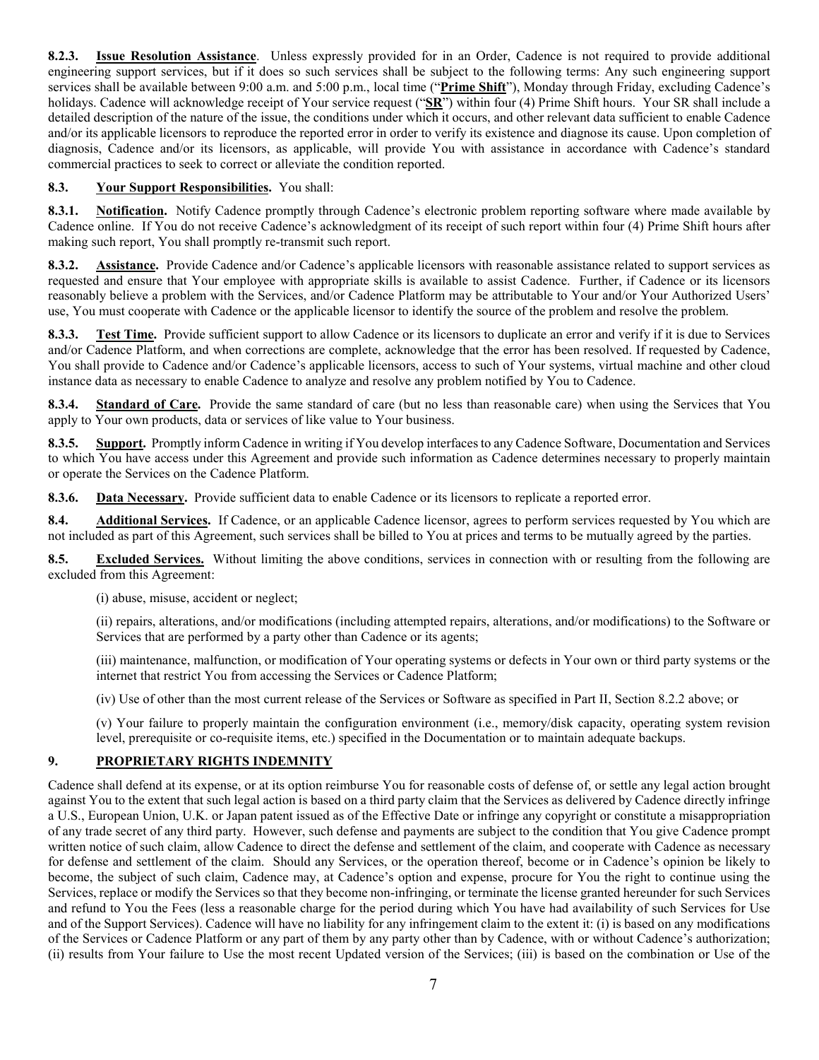**8.2.3. Issue Resolution Assistance**. Unless expressly provided for in an Order, Cadence is not required to provide additional engineering support services, but if it does so such services shall be subject to the following terms: Any such engineering support services shall be available between 9:00 a.m. and 5:00 p.m., local time ("**Prime Shift**"), Monday through Friday, excluding Cadence's holidays. Cadence will acknowledge receipt of Your service request ("**SR**") within four (4) Prime Shift hours. Your SR shall include a detailed description of the nature of the issue, the conditions under which it occurs, and other relevant data sufficient to enable Cadence and/or its applicable licensors to reproduce the reported error in order to verify its existence and diagnose its cause. Upon completion of diagnosis, Cadence and/or its licensors, as applicable, will provide You with assistance in accordance with Cadence's standard commercial practices to seek to correct or alleviate the condition reported.

### **8.3. Your Support Responsibilities.** You shall:

**8.3.1. Notification.** Notify Cadence promptly through Cadence's electronic problem reporting software where made available by Cadence online. If You do not receive Cadence's acknowledgment of its receipt of such report within four (4) Prime Shift hours after making such report, You shall promptly re-transmit such report.

**8.3.2. Assistance.** Provide Cadence and/or Cadence's applicable licensors with reasonable assistance related to support services as requested and ensure that Your employee with appropriate skills is available to assist Cadence. Further, if Cadence or its licensors reasonably believe a problem with the Services, and/or Cadence Platform may be attributable to Your and/or Your Authorized Users' use, You must cooperate with Cadence or the applicable licensor to identify the source of the problem and resolve the problem.

**8.3.3. Test Time.** Provide sufficient support to allow Cadence or its licensors to duplicate an error and verify if it is due to Services and/or Cadence Platform, and when corrections are complete, acknowledge that the error has been resolved. If requested by Cadence, You shall provide to Cadence and/or Cadence's applicable licensors, access to such of Your systems, virtual machine and other cloud instance data as necessary to enable Cadence to analyze and resolve any problem notified by You to Cadence.

**8.3.4. Standard of Care.** Provide the same standard of care (but no less than reasonable care) when using the Services that You apply to Your own products, data or services of like value to Your business.

**8.3.5. Support.** Promptly inform Cadence in writing if You develop interfaces to any Cadence Software, Documentation and Services to which You have access under this Agreement and provide such information as Cadence determines necessary to properly maintain or operate the Services on the Cadence Platform.

**8.3.6. Data Necessary.** Provide sufficient data to enable Cadence or its licensors to replicate a reported error.

**8.4. Additional Services.** If Cadence, or an applicable Cadence licensor, agrees to perform services requested by You which are not included as part of this Agreement, such services shall be billed to You at prices and terms to be mutually agreed by the parties.

**8.5. Excluded Services.** Without limiting the above conditions, services in connection with or resulting from the following are excluded from this Agreement:

(i) abuse, misuse, accident or neglect;

(ii) repairs, alterations, and/or modifications (including attempted repairs, alterations, and/or modifications) to the Software or Services that are performed by a party other than Cadence or its agents;

(iii) maintenance, malfunction, or modification of Your operating systems or defects in Your own or third party systems or the internet that restrict You from accessing the Services or Cadence Platform;

(iv) Use of other than the most current release of the Services or Software as specified in Part II, Section 8.2.2 above; or

(v) Your failure to properly maintain the configuration environment (i.e., memory/disk capacity, operating system revision level, prerequisite or co-requisite items, etc.) specified in the Documentation or to maintain adequate backups.

## **9. PROPRIETARY RIGHTS INDEMNITY**

Cadence shall defend at its expense, or at its option reimburse You for reasonable costs of defense of, or settle any legal action brought against You to the extent that such legal action is based on a third party claim that the Services as delivered by Cadence directly infringe a U.S., European Union, U.K. or Japan patent issued as of the Effective Date or infringe any copyright or constitute a misappropriation of any trade secret of any third party. However, such defense and payments are subject to the condition that You give Cadence prompt written notice of such claim, allow Cadence to direct the defense and settlement of the claim, and cooperate with Cadence as necessary for defense and settlement of the claim. Should any Services, or the operation thereof, become or in Cadence's opinion be likely to become, the subject of such claim, Cadence may, at Cadence's option and expense, procure for You the right to continue using the Services, replace or modify the Services so that they become non-infringing, or terminate the license granted hereunder for such Services and refund to You the Fees (less a reasonable charge for the period during which You have had availability of such Services for Use and of the Support Services). Cadence will have no liability for any infringement claim to the extent it: (i) is based on any modifications of the Services or Cadence Platform or any part of them by any party other than by Cadence, with or without Cadence's authorization; (ii) results from Your failure to Use the most recent Updated version of the Services; (iii) is based on the combination or Use of the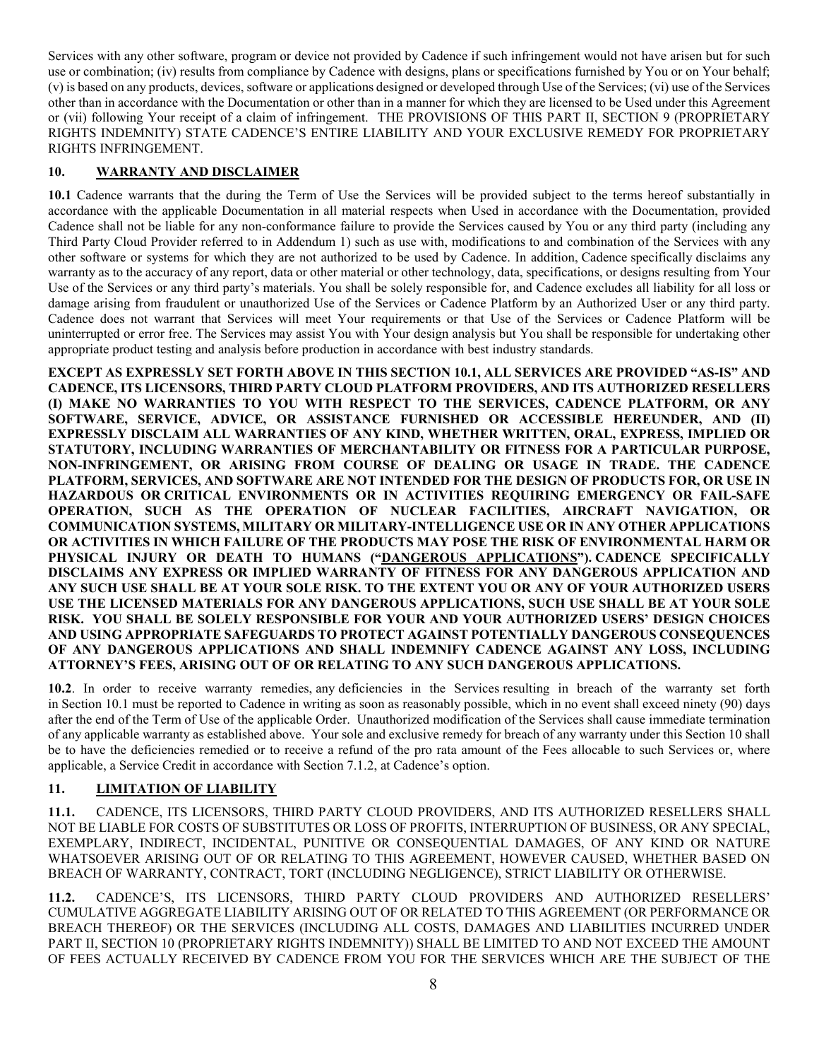Services with any other software, program or device not provided by Cadence if such infringement would not have arisen but for such use or combination; (iv) results from compliance by Cadence with designs, plans or specifications furnished by You or on Your behalf; (v) is based on any products, devices, software or applications designed or developed through Use of the Services; (vi) use of the Services other than in accordance with the Documentation or other than in a manner for which they are licensed to be Used under this Agreement or (vii) following Your receipt of a claim of infringement. THE PROVISIONS OF THIS PART II, SECTION 9 (PROPRIETARY RIGHTS INDEMNITY) STATE CADENCE'S ENTIRE LIABILITY AND YOUR EXCLUSIVE REMEDY FOR PROPRIETARY RIGHTS INFRINGEMENT.

## **10. WARRANTY AND DISCLAIMER**

**10.1** Cadence warrants that the during the Term of Use the Services will be provided subject to the terms hereof substantially in accordance with the applicable Documentation in all material respects when Used in accordance with the Documentation, provided Cadence shall not be liable for any non-conformance failure to provide the Services caused by You or any third party (including any Third Party Cloud Provider referred to in Addendum 1) such as use with, modifications to and combination of the Services with any other software or systems for which they are not authorized to be used by Cadence. In addition, Cadence specifically disclaims any warranty as to the accuracy of any report, data or other material or other technology, data, specifications, or designs resulting from Your Use of the Services or any third party's materials. You shall be solely responsible for, and Cadence excludes all liability for all loss or damage arising from fraudulent or unauthorized Use of the Services or Cadence Platform by an Authorized User or any third party. Cadence does not warrant that Services will meet Your requirements or that Use of the Services or Cadence Platform will be uninterrupted or error free. The Services may assist You with Your design analysis but You shall be responsible for undertaking other appropriate product testing and analysis before production in accordance with best industry standards.

**EXCEPT AS EXPRESSLY SET FORTH ABOVE IN THIS SECTION 10.1, ALL SERVICES ARE PROVIDED "AS-IS" AND CADENCE, ITS LICENSORS, THIRD PARTY CLOUD PLATFORM PROVIDERS, AND ITS AUTHORIZED RESELLERS (I) MAKE NO WARRANTIES TO YOU WITH RESPECT TO THE SERVICES, CADENCE PLATFORM, OR ANY SOFTWARE, SERVICE, ADVICE, OR ASSISTANCE FURNISHED OR ACCESSIBLE HEREUNDER, AND (II) EXPRESSLY DISCLAIM ALL WARRANTIES OF ANY KIND, WHETHER WRITTEN, ORAL, EXPRESS, IMPLIED OR STATUTORY, INCLUDING WARRANTIES OF MERCHANTABILITY OR FITNESS FOR A PARTICULAR PURPOSE, NON-INFRINGEMENT, OR ARISING FROM COURSE OF DEALING OR USAGE IN TRADE. THE CADENCE PLATFORM, SERVICES, AND SOFTWARE ARE NOT INTENDED FOR THE DESIGN OF PRODUCTS FOR, OR USE IN HAZARDOUS OR CRITICAL ENVIRONMENTS OR IN ACTIVITIES REQUIRING EMERGENCY OR FAIL-SAFE OPERATION, SUCH AS THE OPERATION OF NUCLEAR FACILITIES, AIRCRAFT NAVIGATION, OR COMMUNICATION SYSTEMS, MILITARY OR MILITARY-INTELLIGENCE USE OR IN ANY OTHER APPLICATIONS OR ACTIVITIES IN WHICH FAILURE OF THE PRODUCTS MAY POSE THE RISK OF ENVIRONMENTAL HARM OR PHYSICAL INJURY OR DEATH TO HUMANS ("DANGEROUS APPLICATIONS"). CADENCE SPECIFICALLY DISCLAIMS ANY EXPRESS OR IMPLIED WARRANTY OF FITNESS FOR ANY DANGEROUS APPLICATION AND ANY SUCH USE SHALL BE AT YOUR SOLE RISK. TO THE EXTENT YOU OR ANY OF YOUR AUTHORIZED USERS USE THE LICENSED MATERIALS FOR ANY DANGEROUS APPLICATIONS, SUCH USE SHALL BE AT YOUR SOLE RISK. YOU SHALL BE SOLELY RESPONSIBLE FOR YOUR AND YOUR AUTHORIZED USERS' DESIGN CHOICES AND USING APPROPRIATE SAFEGUARDS TO PROTECT AGAINST POTENTIALLY DANGEROUS CONSEQUENCES OF ANY DANGEROUS APPLICATIONS AND SHALL INDEMNIFY CADENCE AGAINST ANY LOSS, INCLUDING ATTORNEY'S FEES, ARISING OUT OF OR RELATING TO ANY SUCH DANGEROUS APPLICATIONS.**

**10.2**. In order to receive warranty remedies, any deficiencies in the Services resulting in breach of the warranty set forth in Section 10.1 must be reported to Cadence in writing as soon as reasonably possible, which in no event shall exceed ninety (90) days after the end of the Term of Use of the applicable Order. Unauthorized modification of the Services shall cause immediate termination of any applicable warranty as established above. Your sole and exclusive remedy for breach of any warranty under this Section 10 shall be to have the deficiencies remedied or to receive a refund of the pro rata amount of the Fees allocable to such Services or, where applicable, a Service Credit in accordance with Section 7.1.2, at Cadence's option.

## **11. LIMITATION OF LIABILITY**

**11.1.** CADENCE, ITS LICENSORS, THIRD PARTY CLOUD PROVIDERS, AND ITS AUTHORIZED RESELLERS SHALL NOT BE LIABLE FOR COSTS OF SUBSTITUTES OR LOSS OF PROFITS, INTERRUPTION OF BUSINESS, OR ANY SPECIAL, EXEMPLARY, INDIRECT, INCIDENTAL, PUNITIVE OR CONSEQUENTIAL DAMAGES, OF ANY KIND OR NATURE WHATSOEVER ARISING OUT OF OR RELATING TO THIS AGREEMENT, HOWEVER CAUSED, WHETHER BASED ON BREACH OF WARRANTY, CONTRACT, TORT (INCLUDING NEGLIGENCE), STRICT LIABILITY OR OTHERWISE.

**11.2.** CADENCE'S, ITS LICENSORS, THIRD PARTY CLOUD PROVIDERS AND AUTHORIZED RESELLERS' CUMULATIVE AGGREGATE LIABILITY ARISING OUT OF OR RELATED TO THIS AGREEMENT (OR PERFORMANCE OR BREACH THEREOF) OR THE SERVICES (INCLUDING ALL COSTS, DAMAGES AND LIABILITIES INCURRED UNDER PART II, SECTION 10 (PROPRIETARY RIGHTS INDEMNITY)) SHALL BE LIMITED TO AND NOT EXCEED THE AMOUNT OF FEES ACTUALLY RECEIVED BY CADENCE FROM YOU FOR THE SERVICES WHICH ARE THE SUBJECT OF THE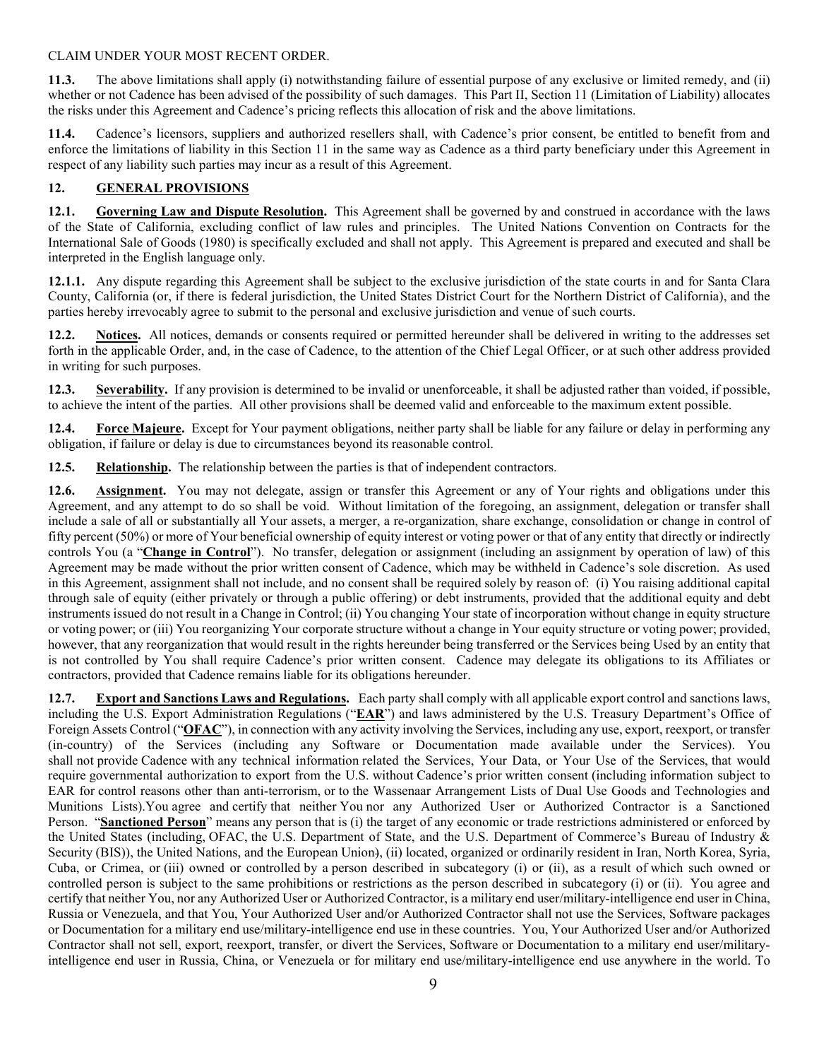#### CLAIM UNDER YOUR MOST RECENT ORDER.

**11.3.** The above limitations shall apply (i) notwithstanding failure of essential purpose of any exclusive or limited remedy, and (ii) whether or not Cadence has been advised of the possibility of such damages. This Part II, Section 11 (Limitation of Liability) allocates the risks under this Agreement and Cadence's pricing reflects this allocation of risk and the above limitations.

**11.4.** Cadence's licensors, suppliers and authorized resellers shall, with Cadence's prior consent, be entitled to benefit from and enforce the limitations of liability in this Section 11 in the same way as Cadence as a third party beneficiary under this Agreement in respect of any liability such parties may incur as a result of this Agreement.

## **12. GENERAL PROVISIONS**

**12.1. Governing Law and Dispute Resolution.** This Agreement shall be governed by and construed in accordance with the laws of the State of California, excluding conflict of law rules and principles. The United Nations Convention on Contracts for the International Sale of Goods (1980) is specifically excluded and shall not apply. This Agreement is prepared and executed and shall be interpreted in the English language only.

**12.1.1.** Any dispute regarding this Agreement shall be subject to the exclusive jurisdiction of the state courts in and for Santa Clara County, California (or, if there is federal jurisdiction, the United States District Court for the Northern District of California), and the parties hereby irrevocably agree to submit to the personal and exclusive jurisdiction and venue of such courts.

**12.2. Notices.** All notices, demands or consents required or permitted hereunder shall be delivered in writing to the addresses set forth in the applicable Order, and, in the case of Cadence, to the attention of the Chief Legal Officer, or at such other address provided in writing for such purposes.

**12.3. Severability.** If any provision is determined to be invalid or unenforceable, it shall be adjusted rather than voided, if possible, to achieve the intent of the parties. All other provisions shall be deemed valid and enforceable to the maximum extent possible.

**12.4. Force Majeure.** Except for Your payment obligations, neither party shall be liable for any failure or delay in performing any obligation, if failure or delay is due to circumstances beyond its reasonable control.

**12.5. Relationship.** The relationship between the parties is that of independent contractors.

**12.6. Assignment.** You may not delegate, assign or transfer this Agreement or any of Your rights and obligations under this Agreement, and any attempt to do so shall be void. Without limitation of the foregoing, an assignment, delegation or transfer shall include a sale of all or substantially all Your assets, a merger, a re-organization, share exchange, consolidation or change in control of fifty percent (50%) or more of Your beneficial ownership of equity interest or voting power or that of any entity that directly or indirectly controls You (a "**Change in Control**"). No transfer, delegation or assignment (including an assignment by operation of law) of this Agreement may be made without the prior written consent of Cadence, which may be withheld in Cadence's sole discretion. As used in this Agreement, assignment shall not include, and no consent shall be required solely by reason of: (i) You raising additional capital through sale of equity (either privately or through a public offering) or debt instruments, provided that the additional equity and debt instruments issued do not result in a Change in Control; (ii) You changing Your state of incorporation without change in equity structure or voting power; or (iii) You reorganizing Your corporate structure without a change in Your equity structure or voting power; provided, however, that any reorganization that would result in the rights hereunder being transferred or the Services being Used by an entity that is not controlled by You shall require Cadence's prior written consent. Cadence may delegate its obligations to its Affiliates or contractors, provided that Cadence remains liable for its obligations hereunder.

**12.7. Export and Sanctions Laws and Regulations.** Each party shall comply with all applicable export control and sanctions laws, including the U.S. Export Administration Regulations ("**EAR**") and laws administered by the U.S. Treasury Department's Office of Foreign Assets Control ("**OFAC**"), in connection with any activity involving the Services, including any use, export, reexport, or transfer (in-country) of the Services (including any Software or Documentation made available under the Services). You shall not provide Cadence with any technical information related the Services, Your Data, or Your Use of the Services, that would require governmental authorization to export from the U.S. without Cadence's prior written consent (including information subject to EAR for control reasons other than anti-terrorism, or to the Wassenaar Arrangement Lists of Dual Use Goods and Technologies and Munitions Lists).You agree and certify that neither You nor any Authorized User or Authorized Contractor is a Sanctioned Person. "**Sanctioned Person**" means any person that is (i) the target of any economic or trade restrictions administered or enforced by the United States (including, OFAC, the U.S. Department of State, and the U.S. Department of Commerce's Bureau of Industry & Security (BIS)), the United Nations, and the European Union), (ii) located, organized or ordinarily resident in Iran, North Korea, Syria, Cuba, or Crimea, or (iii) owned or controlled by a person described in subcategory (i) or (ii), as a result of which such owned or controlled person is subject to the same prohibitions or restrictions as the person described in subcategory (i) or (ii). You agree and certify that neither You, nor any Authorized User or Authorized Contractor, is a military end user/military-intelligence end user in China, Russia or Venezuela, and that You, Your Authorized User and/or Authorized Contractor shall not use the Services, Software packages or Documentation for a military end use/military-intelligence end use in these countries. You, Your Authorized User and/or Authorized Contractor shall not sell, export, reexport, transfer, or divert the Services, Software or Documentation to a military end user/militaryintelligence end user in Russia, China, or Venezuela or for military end use/military-intelligence end use anywhere in the world. To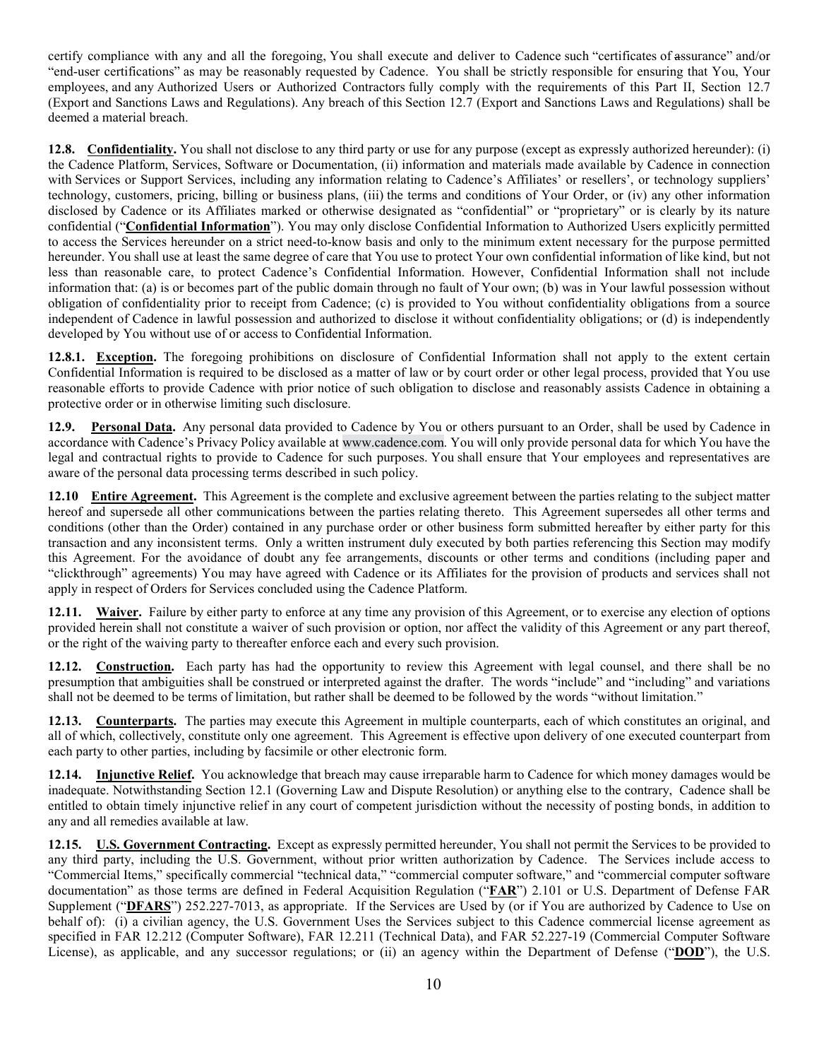certify compliance with any and all the foregoing, You shall execute and deliver to Cadence such "certificates of assurance" and/or "end-user certifications" as may be reasonably requested by Cadence. You shall be strictly responsible for ensuring that You, Your employees, and any Authorized Users or Authorized Contractors fully comply with the requirements of this Part II, Section 12.7 (Export and Sanctions Laws and Regulations). Any breach of this Section 12.7 (Export and Sanctions Laws and Regulations) shall be deemed a material breach.

**12.8. Confidentiality.** You shall not disclose to any third party or use for any purpose (except as expressly authorized hereunder): (i) the Cadence Platform, Services, Software or Documentation, (ii) information and materials made available by Cadence in connection with Services or Support Services, including any information relating to Cadence's Affiliates' or resellers', or technology suppliers' technology, customers, pricing, billing or business plans, (iii) the terms and conditions of Your Order, or (iv) any other information disclosed by Cadence or its Affiliates marked or otherwise designated as "confidential" or "proprietary" or is clearly by its nature confidential ("**Confidential Information**"). You may only disclose Confidential Information to Authorized Users explicitly permitted to access the Services hereunder on a strict need-to-know basis and only to the minimum extent necessary for the purpose permitted hereunder. You shall use at least the same degree of care that You use to protect Your own confidential information of like kind, but not less than reasonable care, to protect Cadence's Confidential Information. However, Confidential Information shall not include information that: (a) is or becomes part of the public domain through no fault of Your own; (b) was in Your lawful possession without obligation of confidentiality prior to receipt from Cadence; (c) is provided to You without confidentiality obligations from a source independent of Cadence in lawful possession and authorized to disclose it without confidentiality obligations; or (d) is independently developed by You without use of or access to Confidential Information.

**12.8.1. Exception.** The foregoing prohibitions on disclosure of Confidential Information shall not apply to the extent certain Confidential Information is required to be disclosed as a matter of law or by court order or other legal process, provided that You use reasonable efforts to provide Cadence with prior notice of such obligation to disclose and reasonably assists Cadence in obtaining a protective order or in otherwise limiting such disclosure.

**12.9. Personal Data.** Any personal data provided to Cadence by You or others pursuant to an Order, shall be used by Cadence in accordance with Cadence's Privacy Policy available at [www.cadence.com.](http://www.cadence.com/) You will only provide personal data for which You have the legal and contractual rights to provide to Cadence for such purposes. You shall ensure that Your employees and representatives are aware of the personal data processing terms described in such policy.

**12.10 Entire Agreement.** This Agreement is the complete and exclusive agreement between the parties relating to the subject matter hereof and supersede all other communications between the parties relating thereto. This Agreement supersedes all other terms and conditions (other than the Order) contained in any purchase order or other business form submitted hereafter by either party for this transaction and any inconsistent terms. Only a written instrument duly executed by both parties referencing this Section may modify this Agreement. For the avoidance of doubt any fee arrangements, discounts or other terms and conditions (including paper and "clickthrough" agreements) You may have agreed with Cadence or its Affiliates for the provision of products and services shall not apply in respect of Orders for Services concluded using the Cadence Platform.

**12.11. Waiver.** Failure by either party to enforce at any time any provision of this Agreement, or to exercise any election of options provided herein shall not constitute a waiver of such provision or option, nor affect the validity of this Agreement or any part thereof, or the right of the waiving party to thereafter enforce each and every such provision.

**12.12. Construction.** Each party has had the opportunity to review this Agreement with legal counsel, and there shall be no presumption that ambiguities shall be construed or interpreted against the drafter. The words "include" and "including" and variations shall not be deemed to be terms of limitation, but rather shall be deemed to be followed by the words "without limitation."

**12.13. Counterparts.** The parties may execute this Agreement in multiple counterparts, each of which constitutes an original, and all of which, collectively, constitute only one agreement. This Agreement is effective upon delivery of one executed counterpart from each party to other parties, including by facsimile or other electronic form.

**12.14. Injunctive Relief.** You acknowledge that breach may cause irreparable harm to Cadence for which money damages would be inadequate. Notwithstanding Section 12.1 (Governing Law and Dispute Resolution) or anything else to the contrary, Cadence shall be entitled to obtain timely injunctive relief in any court of competent jurisdiction without the necessity of posting bonds, in addition to any and all remedies available at law.

**12.15. U.S. Government Contracting.** Except as expressly permitted hereunder, You shall not permit the Services to be provided to any third party, including the U.S. Government, without prior written authorization by Cadence. The Services include access to "Commercial Items," specifically commercial "technical data," "commercial computer software," and "commercial computer software documentation" as those terms are defined in Federal Acquisition Regulation ("**FAR**") 2.101 or U.S. Department of Defense FAR Supplement ("DFARS") 252.227-7013, as appropriate. If the Services are Used by (or if You are authorized by Cadence to Use on behalf of): (i) a civilian agency, the U.S. Government Uses the Services subject to this Cadence commercial license agreement as specified in FAR 12.212 (Computer Software), FAR 12.211 (Technical Data), and FAR 52.227-19 (Commercial Computer Software License), as applicable, and any successor regulations; or (ii) an agency within the Department of Defense ("**DOD**"), the U.S.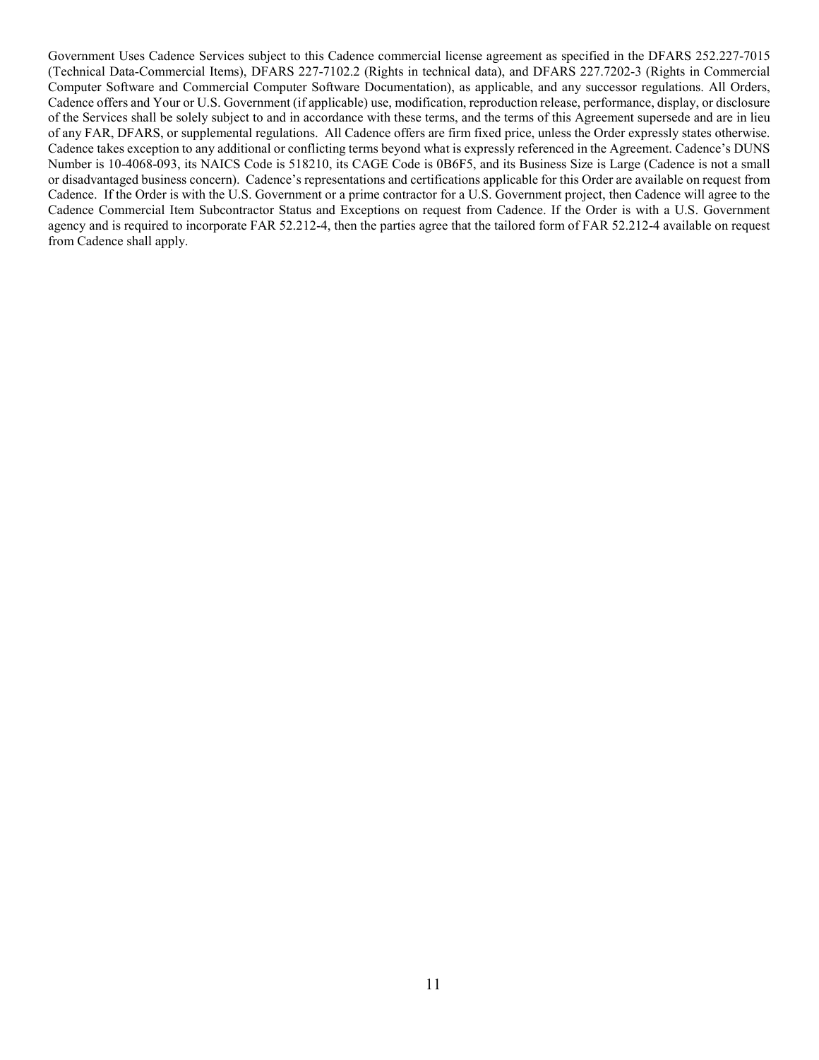Government Uses Cadence Services subject to this Cadence commercial license agreement as specified in the DFARS 252.227-7015 (Technical Data-Commercial Items), DFARS 227-7102.2 (Rights in technical data), and DFARS 227.7202-3 (Rights in Commercial Computer Software and Commercial Computer Software Documentation), as applicable, and any successor regulations. All Orders, Cadence offers and Your or U.S. Government (if applicable) use, modification, reproduction release, performance, display, or disclosure of the Services shall be solely subject to and in accordance with these terms, and the terms of this Agreement supersede and are in lieu of any FAR, DFARS, or supplemental regulations. All Cadence offers are firm fixed price, unless the Order expressly states otherwise. Cadence takes exception to any additional or conflicting terms beyond what is expressly referenced in the Agreement. Cadence's DUNS Number is 10-4068-093, its NAICS Code is 518210, its CAGE Code is 0B6F5, and its Business Size is Large (Cadence is not a small or disadvantaged business concern). Cadence's representations and certifications applicable for this Order are available on request from Cadence. If the Order is with the U.S. Government or a prime contractor for a U.S. Government project, then Cadence will agree to the Cadence Commercial Item Subcontractor Status and Exceptions on request from Cadence. If the Order is with a U.S. Government agency and is required to incorporate FAR 52.212-4, then the parties agree that the tailored form of FAR 52.212-4 available on request from Cadence shall apply.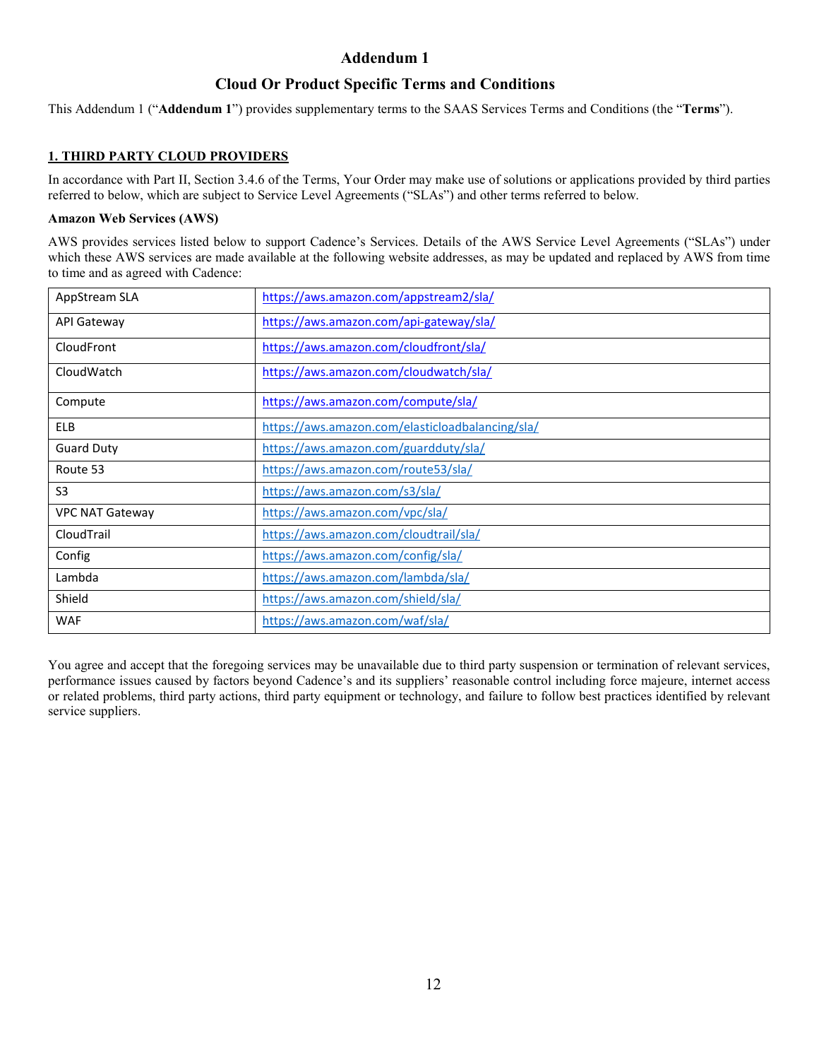# **Addendum 1**

# **Cloud Or Product Specific Terms and Conditions**

This Addendum 1 ("**Addendum 1**") provides supplementary terms to the SAAS Services Terms and Conditions (the "**Terms**").

#### **1. THIRD PARTY CLOUD PROVIDERS**

In accordance with Part II, Section 3.4.6 of the Terms, Your Order may make use of solutions or applications provided by third parties referred to below, which are subject to Service Level Agreements ("SLAs") and other terms referred to below.

#### **Amazon Web Services (AWS)**

AWS provides services listed below to support Cadence's Services. Details of the AWS Service Level Agreements ("SLAs") under which these AWS services are made available at the following website addresses, as may be updated and replaced by AWS from time to time and as agreed with Cadence:

| AppStream SLA          | https://aws.amazon.com/appstream2/sla/           |
|------------------------|--------------------------------------------------|
| <b>API Gateway</b>     | https://aws.amazon.com/api-gateway/sla/          |
| CloudFront             | https://aws.amazon.com/cloudfront/sla/           |
| CloudWatch             | https://aws.amazon.com/cloudwatch/sla/           |
| Compute                | https://aws.amazon.com/compute/sla/              |
| <b>ELB</b>             | https://aws.amazon.com/elasticloadbalancing/sla/ |
| <b>Guard Duty</b>      | https://aws.amazon.com/guardduty/sla/            |
| Route 53               | https://aws.amazon.com/route53/sla/              |
| S <sub>3</sub>         | https://aws.amazon.com/s3/sla/                   |
| <b>VPC NAT Gateway</b> | https://aws.amazon.com/vpc/sla/                  |
| CloudTrail             | https://aws.amazon.com/cloudtrail/sla/           |
| Config                 | https://aws.amazon.com/config/sla/               |
| Lambda                 | https://aws.amazon.com/lambda/sla/               |
| Shield                 | https://aws.amazon.com/shield/sla/               |
| <b>WAF</b>             | https://aws.amazon.com/waf/sla/                  |

You agree and accept that the foregoing services may be unavailable due to third party suspension or termination of relevant services, performance issues caused by factors beyond Cadence's and its suppliers' reasonable control including force majeure, internet access or related problems, third party actions, third party equipment or technology, and failure to follow best practices identified by relevant service suppliers.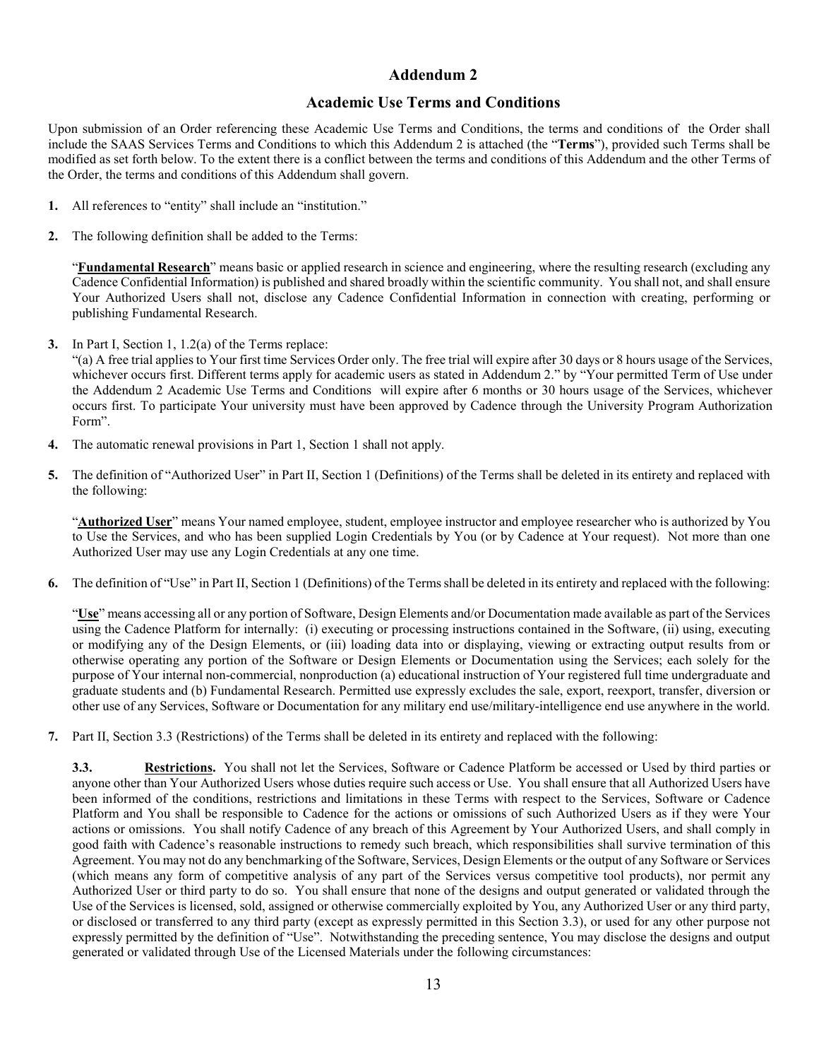# **Addendum 2**

## **Academic Use Terms and Conditions**

Upon submission of an Order referencing these Academic Use Terms and Conditions, the terms and conditions of the Order shall include the SAAS Services Terms and Conditions to which this Addendum 2 is attached (the "**Terms**"), provided such Terms shall be modified as set forth below. To the extent there is a conflict between the terms and conditions of this Addendum and the other Terms of the Order, the terms and conditions of this Addendum shall govern.

- **1.** All references to "entity" shall include an "institution."
- **2.** The following definition shall be added to the Terms:

"**Fundamental Research**" means basic or applied research in science and engineering, where the resulting research (excluding any Cadence Confidential Information) is published and shared broadly within the scientific community. You shall not, and shall ensure Your Authorized Users shall not, disclose any Cadence Confidential Information in connection with creating, performing or publishing Fundamental Research.

**3.** In Part I, Section 1, 1.2(a) of the Terms replace:

"(a) A free trial applies to Your first time Services Order only. The free trial will expire after 30 days or 8 hours usage of the Services, whichever occurs first. Different terms apply for academic users as stated in Addendum 2." by "Your permitted Term of Use under the Addendum 2 Academic Use Terms and Conditions will expire after 6 months or 30 hours usage of the Services, whichever occurs first. To participate Your university must have been approved by Cadence through the University Program Authorization Form".

- **4.** The automatic renewal provisions in Part 1, Section 1 shall not apply.
- **5.** The definition of "Authorized User" in Part II, Section 1 (Definitions) of the Terms shall be deleted in its entirety and replaced with the following:

"**Authorized User**" means Your named employee, student, employee instructor and employee researcher who is authorized by You to Use the Services, and who has been supplied Login Credentials by You (or by Cadence at Your request). Not more than one Authorized User may use any Login Credentials at any one time.

**6.** The definition of "Use" in Part II, Section 1 (Definitions) of the Terms shall be deleted in its entirety and replaced with the following:

"**Use**" means accessing all or any portion of Software, Design Elements and/or Documentation made available as part of the Services using the Cadence Platform for internally: (i) executing or processing instructions contained in the Software, (ii) using, executing or modifying any of the Design Elements, or (iii) loading data into or displaying, viewing or extracting output results from or otherwise operating any portion of the Software or Design Elements or Documentation using the Services; each solely for the purpose of Your internal non-commercial, nonproduction (a) educational instruction of Your registered full time undergraduate and graduate students and (b) Fundamental Research. Permitted use expressly excludes the sale, export, reexport, transfer, diversion or other use of any Services, Software or Documentation for any military end use/military-intelligence end use anywhere in the world.

**7.** Part II, Section 3.3 (Restrictions) of the Terms shall be deleted in its entirety and replaced with the following:

**3.3. Restrictions.** You shall not let the Services, Software or Cadence Platform be accessed or Used by third parties or anyone other than Your Authorized Users whose duties require such access or Use. You shall ensure that all Authorized Users have been informed of the conditions, restrictions and limitations in these Terms with respect to the Services, Software or Cadence Platform and You shall be responsible to Cadence for the actions or omissions of such Authorized Users as if they were Your actions or omissions. You shall notify Cadence of any breach of this Agreement by Your Authorized Users, and shall comply in good faith with Cadence's reasonable instructions to remedy such breach, which responsibilities shall survive termination of this Agreement. You may not do any benchmarking of the Software, Services, Design Elements or the output of any Software or Services (which means any form of competitive analysis of any part of the Services versus competitive tool products), nor permit any Authorized User or third party to do so. You shall ensure that none of the designs and output generated or validated through the Use of the Services is licensed, sold, assigned or otherwise commercially exploited by You, any Authorized User or any third party, or disclosed or transferred to any third party (except as expressly permitted in this Section 3.3), or used for any other purpose not expressly permitted by the definition of "Use". Notwithstanding the preceding sentence, You may disclose the designs and output generated or validated through Use of the Licensed Materials under the following circumstances: